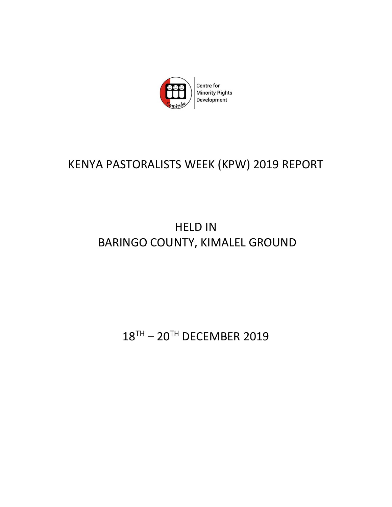

# KENYA PASTORALISTS WEEK (KPW) 2019 REPORT

# HELD IN BARINGO COUNTY, KIMALEL GROUND

18TH - 20TH DECEMBER 2019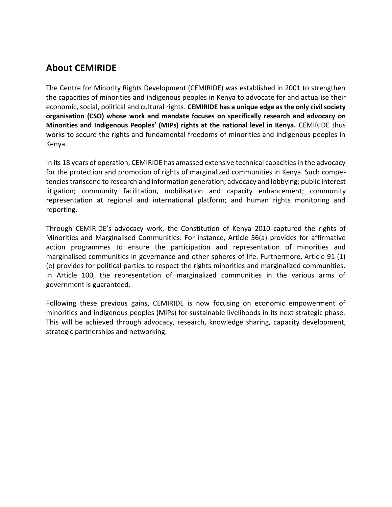# **About CEMIRIDE**

The Centre for Minority Rights Development (CEMIRIDE) was established in 2001 to strengthen the capacities of minorities and indigenous peoples in Kenya to advocate for and actualise their economic, social, political and cultural rights. **CEMIRIDE has a unique edge as the only civil society organisation (CSO) whose work and mandate focuses on specifically research and advocacy on Minorities and Indigenous Peoples' (MIPs) rights at the national level in Kenya.** CEMIRIDE thus works to secure the rights and fundamental freedoms of minorities and indigenous peoples in Kenya.

In its 18 years of operation, CEMIRIDE has amassed extensive technical capacities in the advocacy for the protection and promotion of rights of marginalized communities in Kenya. Such competencies transcend to research and information generation; advocacy and lobbying; public interest litigation; community facilitation, mobilisation and capacity enhancement; community representation at regional and international platform; and human rights monitoring and reporting.

Through CEMIRIDE's advocacy work, the Constitution of Kenya 2010 captured the rights of Minorities and Marginalised Communities. For instance, Article 56(a) provides for affirmative action programmes to ensure the participation and representation of minorities and marginalised communities in governance and other spheres of life. Furthermore, Article 91 (1) (e) provides for political parties to respect the rights minorities and marginalized communities. In Article 100, the representation of marginalized communities in the various arms of government is guaranteed.

Following these previous gains, CEMIRIDE is now focusing on economic empowerment of minorities and indigenous peoples (MIPs) for sustainable livelihoods in its next strategic phase. This will be achieved through advocacy, research, knowledge sharing, capacity development, strategic partnerships and networking.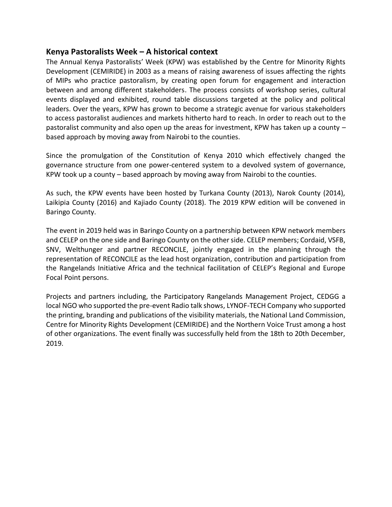# **Kenya Pastoralists Week – A historical context**

The Annual Kenya Pastoralists' Week (KPW) was established by the Centre for Minority Rights Development (CEMIRIDE) in 2003 as a means of raising awareness of issues affecting the rights of MIPs who practice pastoralism, by creating open forum for engagement and interaction between and among different stakeholders. The process consists of workshop series, cultural events displayed and exhibited, round table discussions targeted at the policy and political leaders. Over the years, KPW has grown to become a strategic avenue for various stakeholders to access pastoralist audiences and markets hitherto hard to reach. In order to reach out to the pastoralist community and also open up the areas for investment, KPW has taken up a county – based approach by moving away from Nairobi to the counties.

Since the promulgation of the Constitution of Kenya 2010 which effectively changed the governance structure from one power-centered system to a devolved system of governance, KPW took up a county – based approach by moving away from Nairobi to the counties.

As such, the KPW events have been hosted by Turkana County (2013), Narok County (2014), Laikipia County (2016) and Kajiado County (2018). The 2019 KPW edition will be convened in Baringo County.

The event in 2019 held was in Baringo County on a partnership between KPW network members and CELEP on the one side and Baringo County on the other side. CELEP members; Cordaid, VSFB, SNV, Welthunger and partner RECONCILE, jointly engaged in the planning through the representation of RECONCILE as the lead host organization, contribution and participation from the Rangelands Initiative Africa and the technical facilitation of CELEP's Regional and Europe Focal Point persons.

Projects and partners including, the Participatory Rangelands Management Project, CEDGG a local NGO who supported the pre-event Radio talk shows, LYNOF-TECH Company who supported the printing, branding and publications of the visibility materials, the National Land Commission, Centre for Minority Rights Development (CEMIRIDE) and the Northern Voice Trust among a host of other organizations. The event finally was successfully held from the 18th to 20th December, 2019.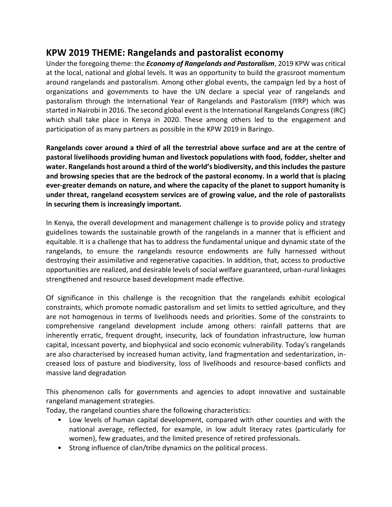# **KPW 2019 THEME: Rangelands and pastoralist economy**

Under the foregoing theme: the *Economy of Rangelands and Pastoralism*, 2019 KPW was critical at the local, national and global levels. It was an opportunity to build the grassroot momentum around rangelands and pastoralism. Among other global events, the campaign led by a host of organizations and governments to have the UN declare a special year of rangelands and pastoralism through the International Year of Rangelands and Pastoralism (IYRP) which was started in Nairobi in 2016. The second global event is the International Rangelands Congress (IRC) which shall take place in Kenya in 2020. These among others led to the engagement and participation of as many partners as possible in the KPW 2019 in Baringo.

**Rangelands cover around a third of all the terrestrial above surface and are at the centre of pastoral livelihoods providing human and livestock populations with food, fodder, shelter and water. Rangelands host around a third of the world's biodiversity, and this includes the pasture and browsing species that are the bedrock of the pastoral economy. In a world that is placing ever-greater demands on nature, and where the capacity of the planet to support humanity is under threat, rangeland ecosystem services are of growing value, and the role of pastoralists in securing them is increasingly important.**

In Kenya, the overall development and management challenge is to provide policy and strategy guidelines towards the sustainable growth of the rangelands in a manner that is efficient and equitable. It is a challenge that has to address the fundamental unique and dynamic state of the rangelands, to ensure the rangelands resource endowments are fully harnessed without destroying their assimilative and regenerative capacities. In addition, that, access to productive opportunities are realized, and desirable levels of social welfare guaranteed, urban-rural linkages strengthened and resource based development made effective.

Of significance in this challenge is the recognition that the rangelands exhibit ecological constraints, which promote nomadic pastoralism and set limits to settled agriculture, and they are not homogenous in terms of livelihoods needs and priorities. Some of the constraints to comprehensive rangeland development include among others: rainfall patterns that are inherently erratic, frequent drought, insecurity, lack of foundation infrastructure, low human capital, incessant poverty, and biophysical and socio economic vulnerability. Today's rangelands are also characterised by increased human activity, land fragmentation and sedentarization, increased loss of pasture and biodiversity, loss of livelihoods and resource-based conflicts and massive land degradation

This phenomenon calls for governments and agencies to adopt innovative and sustainable rangeland management strategies.

Today, the rangeland counties share the following characteristics:

- Low levels of human capital development, compared with other counties and with the national average, reflected, for example, in low adult literacy rates (particularly for women), few graduates, and the limited presence of retired professionals.
- Strong influence of clan/tribe dynamics on the political process.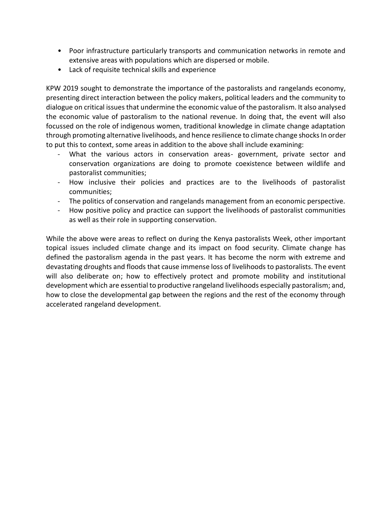- Poor infrastructure particularly transports and communication networks in remote and extensive areas with populations which are dispersed or mobile.
- Lack of requisite technical skills and experience

KPW 2019 sought to demonstrate the importance of the pastoralists and rangelands economy, presenting direct interaction between the policy makers, political leaders and the community to dialogue on critical issues that undermine the economic value of the pastoralism. It also analysed the economic value of pastoralism to the national revenue. In doing that, the event will also focussed on the role of indigenous women, traditional knowledge in climate change adaptation through promoting alternative livelihoods, and hence resilience to climate change shocks In order to put this to context, some areas in addition to the above shall include examining:

- What the various actors in conservation areas- government, private sector and conservation organizations are doing to promote coexistence between wildlife and pastoralist communities;
- How inclusive their policies and practices are to the livelihoods of pastoralist communities;
- The politics of conservation and rangelands management from an economic perspective.
- How positive policy and practice can support the livelihoods of pastoralist communities as well as their role in supporting conservation.

While the above were areas to reflect on during the Kenya pastoralists Week, other important topical issues included climate change and its impact on food security. Climate change has defined the pastoralism agenda in the past years. It has become the norm with extreme and devastating droughts and floods that cause immense loss of livelihoods to pastoralists. The event will also deliberate on; how to effectively protect and promote mobility and institutional development which are essential to productive rangeland livelihoods especially pastoralism; and, how to close the developmental gap between the regions and the rest of the economy through accelerated rangeland development.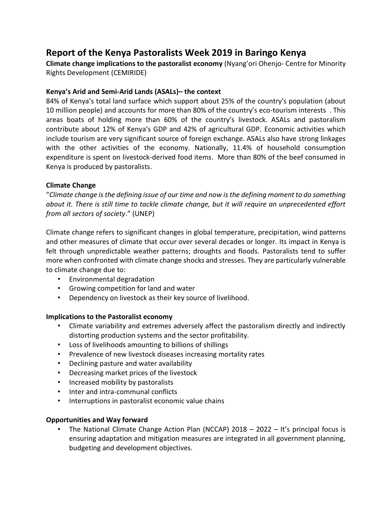# **Report of the Kenya Pastoralists Week 2019 in Baringo Kenya**

**Climate change implications to the pastoralist economy** (Nyang'ori Ohenjo- Centre for Minority Rights Development (CEMIRIDE)

### **Kenya's Arid and Semi-Arid Lands (ASALs)– the context**

84% of Kenya's total land surface which support about 25% of the country's population (about 10 million people) and accounts for more than 80% of the country's eco-tourism interests . This areas boats of holding more than 60% of the country's livestock. ASALs and pastoralism contribute about 12% of Kenya's GDP and 42% of agricultural GDP. Economic activities which include tourism are very significant source of foreign exchange. ASALs also have strong linkages with the other activities of the economy. Nationally, 11.4% of household consumption expenditure is spent on livestock-derived food items. More than 80% of the beef consumed in Kenya is produced by pastoralists.

### **Climate Change**

"*Climate change is the defining issue of our time and now is the defining moment to do something about it. There is still time to tackle climate change, but it will require an unprecedented effort from all sectors of society*." (UNEP)

Climate change refers to significant changes in global temperature, precipitation, wind patterns and other measures of climate that occur over several decades or longer. Its impact in Kenya is felt through unpredictable weather patterns; droughts and floods. Pastoralists tend to suffer more when confronted with climate change shocks and stresses. They are particularly vulnerable to climate change due to:

- Environmental degradation
- Growing competition for land and water
- Dependency on livestock as their key source of livelihood.

# **Implications to the Pastoralist economy**

- Climate variability and extremes adversely affect the pastoralism directly and indirectly distorting production systems and the sector profitability.
- Loss of livelihoods amounting to billions of shillings
- Prevalence of new livestock diseases increasing mortality rates
- Declining pasture and water availability
- Decreasing market prices of the livestock
- Increased mobility by pastoralists
- Inter and intra-communal conflicts
- Interruptions in pastoralist economic value chains

# **Opportunities and Way forward**

The National Climate Change Action Plan (NCCAP) 2018 – 2022 – It's principal focus is ensuring adaptation and mitigation measures are integrated in all government planning, budgeting and development objectives.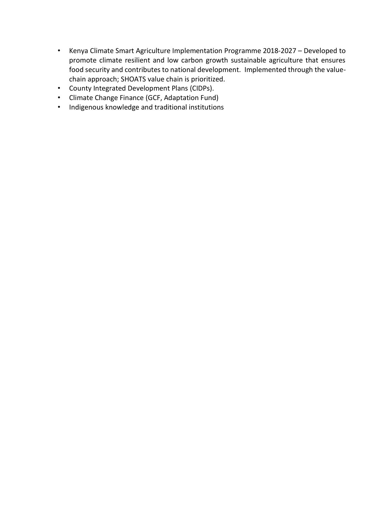- Kenya Climate Smart Agriculture Implementation Programme 2018-2027 Developed to promote climate resilient and low carbon growth sustainable agriculture that ensures food security and contributes to national development. Implemented through the valuechain approach; SHOATS value chain is prioritized.
- County Integrated Development Plans (CIDPs).
- Climate Change Finance (GCF, Adaptation Fund)
- Indigenous knowledge and traditional institutions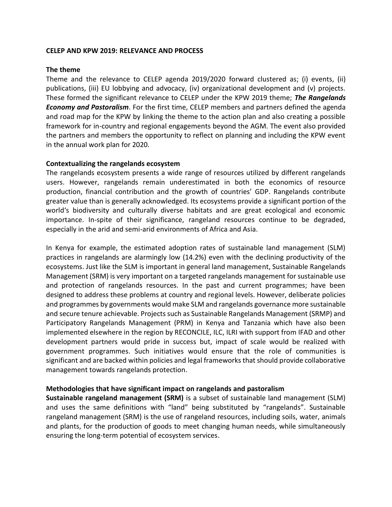#### **CELEP AND KPW 2019: RELEVANCE AND PROCESS**

#### **The theme**

Theme and the relevance to CELEP agenda 2019/2020 forward clustered as; (i) events, (ii) publications, (iii) EU lobbying and advocacy, (iv) organizational development and (v) projects. These formed the significant relevance to CELEP under the KPW 2019 theme; *The Rangelands Economy and Pastoralism*. For the first time, CELEP members and partners defined the agenda and road map for the KPW by linking the theme to the action plan and also creating a possible framework for in-country and regional engagements beyond the AGM. The event also provided the partners and members the opportunity to reflect on planning and including the KPW event in the annual work plan for 2020.

#### **Contextualizing the rangelands ecosystem**

The rangelands ecosystem presents a wide range of resources utilized by different rangelands users. However, rangelands remain underestimated in both the economics of resource production, financial contribution and the growth of countries' GDP. Rangelands contribute greater value than is generally acknowledged. Its ecosystems provide a significant portion of the world's biodiversity and culturally diverse habitats and are great ecological and economic importance. In-spite of their significance, rangeland resources continue to be degraded, especially in the arid and semi-arid environments of Africa and Asia.

In Kenya for example, the estimated adoption rates of sustainable land management (SLM) practices in rangelands are alarmingly low (14.2%) even with the declining productivity of the ecosystems. Just like the SLM is important in general land management, Sustainable Rangelands Management (SRM) is very important on a targeted rangelands management for sustainable use and protection of rangelands resources. In the past and current programmes; have been designed to address these problems at country and regional levels. However, deliberate policies and programmes by governments would make SLM and rangelands governance more sustainable and secure tenure achievable. Projects such as Sustainable Rangelands Management (SRMP) and Participatory Rangelands Management (PRM) in Kenya and Tanzania which have also been implemented elsewhere in the region by RECONCILE, ILC, ILRI with support from IFAD and other development partners would pride in success but, impact of scale would be realized with government programmes. Such initiatives would ensure that the role of communities is significant and are backed within policies and legal frameworks that should provide collaborative management towards rangelands protection.

#### **Methodologies that have significant impact on rangelands and pastoralism**

**Sustainable rangeland management (SRM)** is a subset of sustainable land management (SLM) and uses the same definitions with "land" being substituted by "rangelands". Sustainable rangeland management (SRM) is the use of rangeland resources, including soils, water, animals and plants, for the production of goods to meet changing human needs, while simultaneously ensuring the long-term potential of ecosystem services.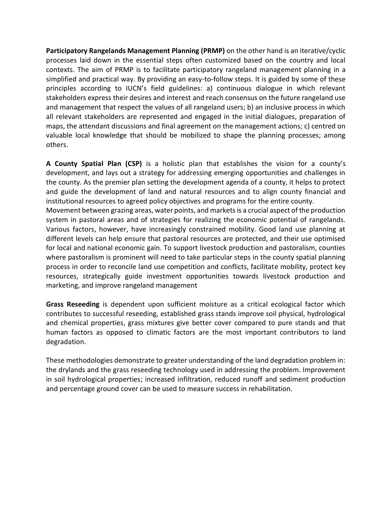**Participatory Rangelands Management Planning (PRMP)** on the other hand is an iterative/cyclic processes laid down in the essential steps often customized based on the country and local contexts. The aim of PRMP is to facilitate participatory rangeland management planning in a simplified and practical way. By providing an easy-to-follow steps. It is guided by some of these principles according to IUCN's field guidelines: a) continuous dialogue in which relevant stakeholders express their desires and interest and reach consensus on the future rangeland use and management that respect the values of all rangeland users; b) an inclusive process in which all relevant stakeholders are represented and engaged in the initial dialogues, preparation of maps, the attendant discussions and final agreement on the management actions; c) centred on valuable local knowledge that should be mobilized to shape the planning processes; among others.

**A County Spatial Plan (CSP)** is a holistic plan that establishes the vision for a county's development, and lays out a strategy for addressing emerging opportunities and challenges in the county. As the premier plan setting the development agenda of a county, it helps to protect and guide the development of land and natural resources and to align county financial and institutional resources to agreed policy objectives and programs for the entire county.

Movement between grazing areas, water points, and markets is a crucial aspect of the production system in pastoral areas and of strategies for realizing the economic potential of rangelands. Various factors, however, have increasingly constrained mobility. Good land use planning at different levels can help ensure that pastoral resources are protected, and their use optimised for local and national economic gain. To support livestock production and pastoralism, counties where pastoralism is prominent will need to take particular steps in the county spatial planning process in order to reconcile land use competition and conflicts, facilitate mobility, protect key resources, strategically guide investment opportunities towards livestock production and marketing, and improve rangeland management

**Grass Reseeding** is dependent upon sufficient moisture as a critical ecological factor which contributes to successful reseeding, established grass stands improve soil physical, hydrological and chemical properties, grass mixtures give better cover compared to pure stands and that human factors as opposed to climatic factors are the most important contributors to land degradation.

These methodologies demonstrate to greater understanding of the land degradation problem in: the drylands and the grass reseeding technology used in addressing the problem. Improvement in soil hydrological properties; increased infiltration, reduced runoff and sediment production and percentage ground cover can be used to measure success in rehabilitation.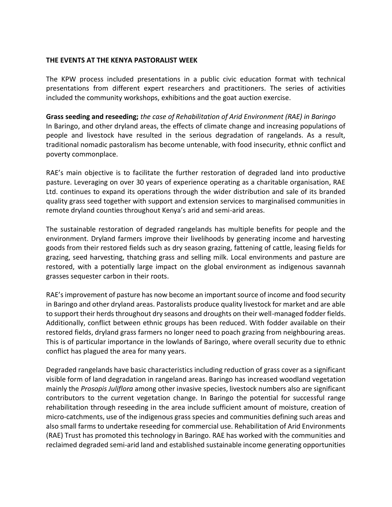#### **THE EVENTS AT THE KENYA PASTORALIST WEEK**

The KPW process included presentations in a public civic education format with technical presentations from different expert researchers and practitioners. The series of activities included the community workshops, exhibitions and the goat auction exercise.

**Grass seeding and reseeding;** *the case of Rehabilitation of Arid Environment (RAE) in Baringo*  In Baringo, and other dryland areas, the effects of climate change and increasing populations of people and livestock have resulted in the serious degradation of rangelands. As a result, traditional nomadic pastoralism has become untenable, with food insecurity, ethnic conflict and poverty commonplace.

RAE's main objective is to facilitate the further restoration of degraded land into productive pasture. Leveraging on over 30 years of experience operating as a charitable organisation, RAE Ltd. continues to expand its operations through the wider distribution and sale of its branded quality grass seed together with support and extension services to marginalised communities in remote dryland counties throughout Kenya's arid and semi-arid areas.

The sustainable restoration of degraded rangelands has multiple benefits for people and the environment. Dryland farmers improve their livelihoods by generating income and harvesting goods from their restored fields such as dry season grazing, fattening of cattle, leasing fields for grazing, seed harvesting, thatching grass and selling milk. Local environments and pasture are restored, with a potentially large impact on the global environment as indigenous savannah grasses sequester carbon in their roots.

RAE's improvement of pasture has now become an important source of income and food security in Baringo and other dryland areas. Pastoralists produce quality livestock for market and are able to support their herds throughout dry seasons and droughts on their well-managed fodder fields. Additionally, conflict between ethnic groups has been reduced. With fodder available on their restored fields, dryland grass farmers no longer need to poach grazing from neighbouring areas. This is of particular importance in the lowlands of Baringo, where overall security due to ethnic conflict has plagued the area for many years.

Degraded rangelands have basic characteristics including reduction of grass cover as a significant visible form of land degradation in rangeland areas. Baringo has increased woodland vegetation mainly the *Prosopis Juliflora* among other invasive species, livestock numbers also are significant contributors to the current vegetation change. In Baringo the potential for successful range rehabilitation through reseeding in the area include sufficient amount of moisture, creation of micro-catchments, use of the indigenous grass species and communities defining such areas and also small farms to undertake reseeding for commercial use. Rehabilitation of Arid Environments (RAE) Trust has promoted this technology in Baringo. RAE has worked with the communities and reclaimed degraded semi-arid land and established sustainable income generating opportunities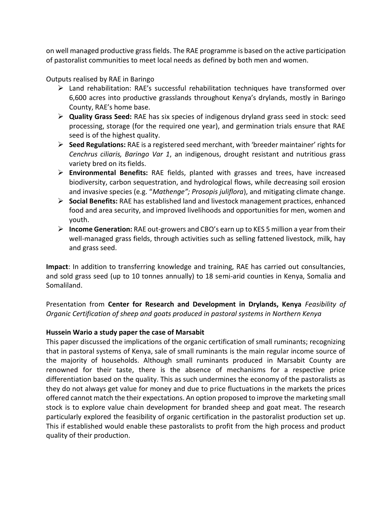on well managed productive grass fields. The RAE programme is based on the active participation of pastoralist communities to meet local needs as defined by both men and women.

Outputs realised by RAE in Baringo

- $\triangleright$  Land rehabilitation: RAE's successful rehabilitation techniques have transformed over 6,600 acres into productive grasslands throughout Kenya's drylands, mostly in Baringo County, RAE's home base.
- ➢ **Quality Grass Seed:** RAE has six species of indigenous dryland grass seed in stock: seed processing, storage (for the required one year), and germination trials ensure that RAE seed is of the highest quality.
- ➢ **Seed Regulations:** RAE is a registered seed merchant, with 'breeder maintainer' rights for *Cenchrus ciliaris, Baringo Var 1*, an indigenous, drought resistant and nutritious grass variety bred on its fields.
- ➢ **Environmental Benefits:** RAE fields, planted with grasses and trees, have increased biodiversity, carbon sequestration, and hydrological flows, while decreasing soil erosion and invasive species (e.g. "*Mathenge"; Prosopis juliflora*), and mitigating climate change.
- ➢ **Social Benefits:** RAE has established land and livestock management practices, enhanced food and area security, and improved livelihoods and opportunities for men, women and youth.
- ➢ **Income Generation:** RAE out-growers and CBO's earn up to KES 5 million a year from their well-managed grass fields, through activities such as selling fattened livestock, milk, hay and grass seed.

**Impact**: In addition to transferring knowledge and training, RAE has carried out consultancies, and sold grass seed (up to 10 tonnes annually) to 18 semi-arid counties in Kenya, Somalia and Somaliland.

Presentation from **Center for Research and Development in Drylands, Kenya** *Feasibility of Organic Certification of sheep and goats produced in pastoral systems in Northern Kenya* 

# **Hussein Wario a study paper the case of Marsabit**

This paper discussed the implications of the organic certification of small ruminants; recognizing that in pastoral systems of Kenya, sale of small ruminants is the main regular income source of the majority of households. Although small ruminants produced in Marsabit County are renowned for their taste, there is the absence of mechanisms for a respective price differentiation based on the quality. This as such undermines the economy of the pastoralists as they do not always get value for money and due to price fluctuations in the markets the prices offered cannot match the their expectations. An option proposed to improve the marketing small stock is to explore value chain development for branded sheep and goat meat. The research particularly explored the feasibility of organic certification in the pastoralist production set up. This if established would enable these pastoralists to profit from the high process and product quality of their production.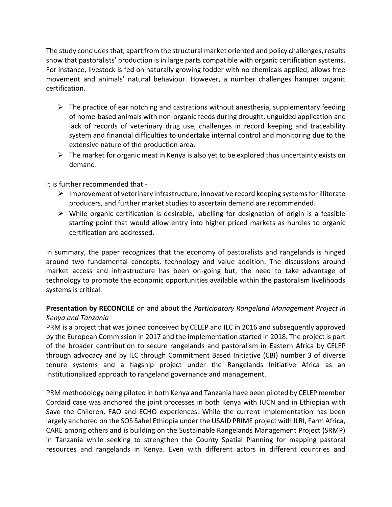The study concludes that, apart from the structural market oriented and policy challenges, results show that pastoralists' production is in large parts compatible with organic certification systems. For instance, livestock is fed on naturally growing fodder with no chemicals applied, allows free movement and animals' natural behaviour. However, a number challenges hamper organic certification.

- $\triangleright$  The practice of ear notching and castrations without anesthesia, supplementary feeding of home-based animals with non-organic feeds during drought, unguided application and lack of records of veterinary drug use, challenges in record keeping and traceability system and financial difficulties to undertake internal control and monitoring due to the extensive nature of the production area.
- $\triangleright$  The market for organic meat in Kenya is also yet to be explored thus uncertainty exists on demand.

It is further recommended that -

- $\triangleright$  Improvement of veterinary infrastructure, innovative record keeping systems for illiterate producers, and further market studies to ascertain demand are recommended.
- $\triangleright$  While organic certification is desirable, labelling for designation of origin is a feasible starting point that would allow entry into higher priced markets as hurdles to organic certification are addressed.

In summary, the paper recognizes that the economy of pastoralists and rangelands is hinged around two fundamental concepts, technology and value addition. The discussions around market access and infrastructure has been on-going but, the need to take advantage of technology to promote the economic opportunities available within the pastoralism livelihoods systems is critical.

# **Presentation by RECONCILE** on and about the *Participatory Rangeland Management Project in Kenya and Tanzania*

PRM is a project that was joined conceived by CELEP and ILC in 2016 and subsequently approved by the European Commission in 2017 and the implementation started in 2018. The project is part of the broader contribution to secure rangelands and pastoralism in Eastern Africa by CELEP through advocacy and by ILC through Commitment Based Initiative (CBI) number 3 of diverse tenure systems and a flagship project under the Rangelands Initiative Africa as an Institutionalized approach to rangeland governance and management.

PRM methodology being piloted in both Kenya and Tanzania have been piloted by CELEP member Cordaid case was anchored the joint processes in both Kenya with IUCN and in Ethiopian with Save the Children, FAO and ECHO experiences. While the current implementation has been largely anchored on the SOS Sahel Ethiopia under the USAID PRIME project with ILRI, Farm Africa, CARE among others and is building on the Sustainable Rangelands Management Project (SRMP) in Tanzania while seeking to strengthen the County Spatial Planning for mapping pastoral resources and rangelands in Kenya. Even with different actors in different countries and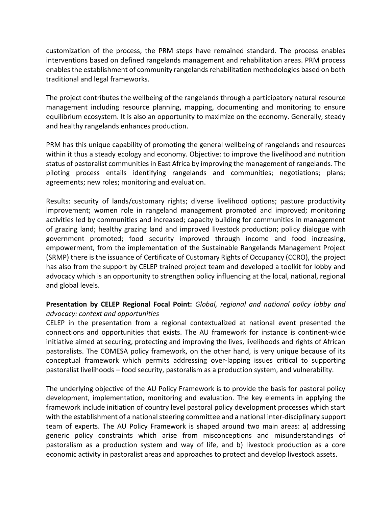customization of the process, the PRM steps have remained standard. The process enables interventions based on defined rangelands management and rehabilitation areas. PRM process enables the establishment of community rangelands rehabilitation methodologies based on both traditional and legal frameworks.

The project contributes the wellbeing of the rangelands through a participatory natural resource management including resource planning, mapping, documenting and monitoring to ensure equilibrium ecosystem. It is also an opportunity to maximize on the economy. Generally, steady and healthy rangelands enhances production.

PRM has this unique capability of promoting the general wellbeing of rangelands and resources within it thus a steady ecology and economy. Objective: to improve the livelihood and nutrition status of pastoralist communities in East Africa by improving the management of rangelands. The piloting process entails identifying rangelands and communities; negotiations; plans; agreements; new roles; monitoring and evaluation.

Results: security of lands/customary rights; diverse livelihood options; pasture productivity improvement; women role in rangeland management promoted and improved; monitoring activities led by communities and increased; capacity building for communities in management of grazing land; healthy grazing land and improved livestock production; policy dialogue with government promoted; food security improved through income and food increasing, empowerment, from the implementation of the Sustainable Rangelands Management Project (SRMP) there is the issuance of Certificate of Customary Rights of Occupancy (CCRO), the project has also from the support by CELEP trained project team and developed a toolkit for lobby and advocacy which is an opportunity to strengthen policy influencing at the local, national, regional and global levels.

# **Presentation by CELEP Regional Focal Point:** *Global, regional and national policy lobby and advocacy: context and opportunities*

CELEP in the presentation from a regional contextualized at national event presented the connections and opportunities that exists. The AU framework for instance is continent-wide initiative aimed at securing, protecting and improving the lives, livelihoods and rights of African pastoralists. The COMESA policy framework, on the other hand, is very unique because of its conceptual framework which permits addressing over-lapping issues critical to supporting pastoralist livelihoods – food security, pastoralism as a production system, and vulnerability.

The underlying objective of the AU Policy Framework is to provide the basis for pastoral policy development, implementation, monitoring and evaluation. The key elements in applying the framework include initiation of country level pastoral policy development processes which start with the establishment of a national steering committee and a national inter-disciplinary support team of experts. The AU Policy Framework is shaped around two main areas: a) addressing generic policy constraints which arise from misconceptions and misunderstandings of pastoralism as a production system and way of life, and b) livestock production as a core economic activity in pastoralist areas and approaches to protect and develop livestock assets.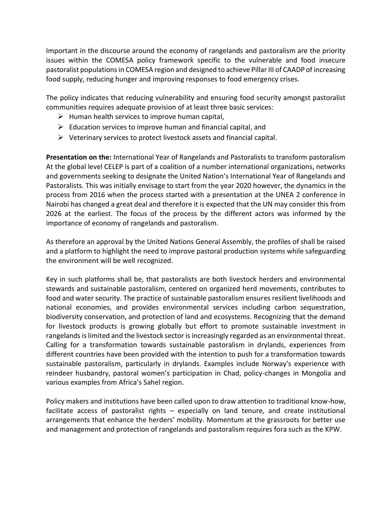Important in the discourse around the economy of rangelands and pastoralism are the priority issues within the COMESA policy framework specific to the vulnerable and food insecure pastoralist populations in COMESA region and designed to achieve Pillar III of CAADP of increasing food supply, reducing hunger and improving responses to food emergency crises.

The policy indicates that reducing vulnerability and ensuring food security amongst pastoralist communities requires adequate provision of at least three basic services:

- $\triangleright$  Human health services to improve human capital,
- $\triangleright$  Education services to improve human and financial capital, and
- ➢ Veterinary services to protect livestock assets and financial capital.

**Presentation on the:** International Year of Rangelands and Pastoralists to transform pastoralism At the global level CELEP is part of a coalition of a number international organizations, networks and governments seeking to designate the United Nation's International Year of Rangelands and Pastoralists. This was initially envisage to start from the year 2020 however, the dynamics in the process from 2016 when the process started with a presentation at the UNEA 2 conference in Nairobi has changed a great deal and therefore it is expected that the UN may consider this from 2026 at the earliest. The focus of the process by the different actors was informed by the importance of economy of rangelands and pastoralism.

As therefore an approval by the United Nations General Assembly, the profiles of shall be raised and a platform to highlight the need to improve pastoral production systems while safeguarding the environment will be well recognized.

Key in such platforms shall be, that pastoralists are both livestock herders and environmental stewards and sustainable pastoralism, centered on organized herd movements, contributes to food and water security. The practice of sustainable pastoralism ensures resilient livelihoods and national economies, and provides environmental services including carbon sequestration, biodiversity conservation, and protection of land and ecosystems. Recognizing that the demand for livestock products is growing globally but effort to promote sustainable investment in rangelands is limited and the livestock sector is increasingly regarded as an environmental threat. Calling for a transformation towards sustainable pastoralism in drylands, experiences from different countries have been provided with the intention to push for a transformation towards sustainable pastoralism, particularly in drylands. Examples include Norway's experience with reindeer husbandry, pastoral women's participation in Chad, policy-changes in Mongolia and various examples from Africa's Sahel region.

Policy makers and institutions have been called upon to draw attention to traditional know-how, facilitate access of pastoralist rights – especially on land tenure, and create institutional arrangements that enhance the herders' mobility. Momentum at the grassroots for better use and management and protection of rangelands and pastoralism requires fora such as the KPW.